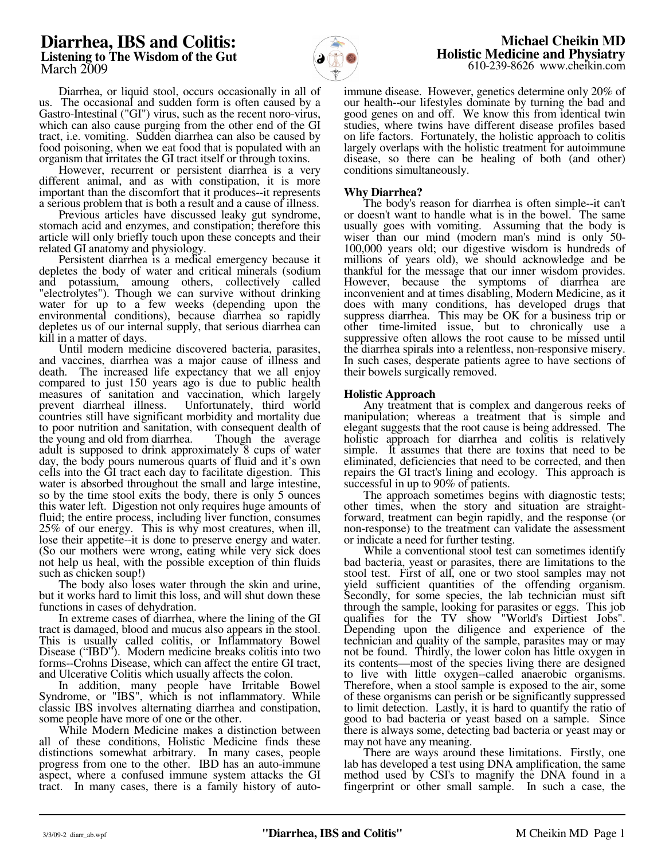# **Diarrhea, IBS and Colitis: Listening to The Wisdom of the Gut**  March 2009



 **Michael Cheikin MD Holistic Medicine and Physiatry** 610-239-8626 www.cheikin.com

 Diarrhea, or liquid stool, occurs occasionally in all of us. The occasional and sudden form is often caused by a Gastro-Intestinal ("GI") virus, such as the recent noro-virus, which can also cause purging from the other end of the GI tract, i.e. vomiting. Sudden diarrhea can also be caused by food poisoning, when we eat food that is populated with an organism that irritates the GI tract itself or through toxins.

 However, recurrent or persistent diarrhea is a very different animal, and as with constipation, it is more important than the discomfort that it produces--it represents a serious problem that is both a result and a cause of illness.

 Previous articles have discussed leaky gut syndrome, stomach acid and enzymes, and constipation; therefore this article will only briefly touch upon these concepts and their related GI anatomy and physiology.

 Persistent diarrhea is a medical emergency because it depletes the body of water and critical minerals (sodium and potassium, amoung others, collectively called "electrolytes"). Though we can survive without drinking water for up to a few weeks (depending upon the environmental conditions), because diarrhea so rapidly depletes us of our internal supply, that serious diarrhea can kill in a matter of days.

 Until modern medicine discovered bacteria, parasites, and vaccines, diarrhea was a major cause of illness and death. The increased life expectancy that we all enjoy compared to just 150 years ago is due to public health measures of sanitation and vaccination, which largely prevent diarrheal illness. Unfortunately, third world countries still have significant morbidity and mortality due to poor nutrition and sanitation, with consequent dealth of the young and old from diarrhea. Though the average the young and old from diarrhea. adult is supposed to drink approximately 8 cups of water day, the body pours numerous quarts of fluid and it's own cells into the GI tract each day to facilitate digestion. This water is absorbed throughout the small and large intestine, so by the time stool exits the body, there is only 5 ounces this water left. Digestion not only requires huge amounts of fluid; the entire process, including liver function, consumes 25% of our energy. This is why most creatures, when ill, lose their appetite--it is done to preserve energy and water. (So our mothers were wrong, eating while very sick does not help us heal, with the possible exception of thin fluids such as chicken soup!)

 The body also loses water through the skin and urine, but it works hard to limit this loss, and will shut down these functions in cases of dehydration.

 In extreme cases of diarrhea, where the lining of the GI tract is damaged, blood and mucus also appears in the stool. This is usually called colitis, or Inflammatory Bowel Disease ("IBD"). Modern medicine breaks colitis into two forms--Crohns Disease, which can affect the entire GI tract, and Ulcerative Colitis which usually affects the colon.

 In addition, many people have Irritable Bowel Syndrome, or "IBS", which is not inflammatory. While classic IBS involves alternating diarrhea and constipation, some people have more of one or the other.

 While Modern Medicine makes a distinction between all of these conditions, Holistic Medicine finds these distinctions somewhat arbitrary. In many cases, people progress from one to the other. IBD has an auto-immune aspect, where a confused immune system attacks the GI tract. In many cases, there is a family history of autoimmune disease. However, genetics determine only 20% of our health--our lifestyles dominate by turning the bad and good genes on and off. We know this from identical twin studies, where twins have different disease profiles based on life factors. Fortunately, the holistic approach to colitis largely overlaps with the holistic treatment for autoimmune disease, so there can be healing of both (and other) conditions simultaneously.

## **Why Diarrhea?**

 The body's reason for diarrhea is often simple--it can't or doesn't want to handle what is in the bowel. The same usually goes with vomiting. Assuming that the body is wiser than our mind (modern man's mind is only 50- 100,000 years old; our digestive wisdom is hundreds of millions of years old), we should acknowledge and be thankful for the message that our inner wisdom provides. However, because the symptoms of diarrhea are inconvenient and at times disabling, Modern Medicine, as it does with many conditions, has developed drugs that suppress diarrhea. This may be OK for a business trip or other time-limited issue, but to chronically use a suppressive often allows the root cause to be missed until the diarrhea spirals into a relentless, non-responsive misery. In such cases, desperate patients agree to have sections of their bowels surgically removed.

### **Holistic Approach**

 Any treatment that is complex and dangerous reeks of manipulation; whereas a treatment that is simple and elegant suggests that the root cause is being addressed. The holistic approach for diarrhea and colitis is relatively simple. It assumes that there are toxins that need to be eliminated, deficiencies that need to be corrected, and then repairs the GI tract's lining and ecology. This approach is successful in up to 90% of patients.

 The approach sometimes begins with diagnostic tests; other times, when the story and situation are straightforward, treatment can begin rapidly, and the response (or non-response) to the treatment can validate the assessment or indicate a need for further testing.

 While a conventional stool test can sometimes identify bad bacteria, yeast or parasites, there are limitations to the stool test. First of all, one or two stool samples may not yield sufficient quantities of the offending organism. Secondly, for some species, the lab technician must sift through the sample, looking for parasites or eggs. This job qualifies for the TV show "World's Dirtiest Jobs". Depending upon the diligence and experience of the technician and quality of the sample, parasites may or may not be found. Thirdly, the lower colon has little oxygen in its contents—most of the species living there are designed to live with little oxygen--called anaerobic organisms. Therefore, when a stool sample is exposed to the air, some of these organisms can perish or be significantly suppressed to limit detection. Lastly, it is hard to quantify the ratio of good to bad bacteria or yeast based on a sample. Since there is always some, detecting bad bacteria or yeast may or may not have any meaning.

 There are ways around these limitations. Firstly, one lab has developed a test using DNA amplification, the same method used by CSI's to magnify the DNA found in a fingerprint or other small sample. In such a case, the